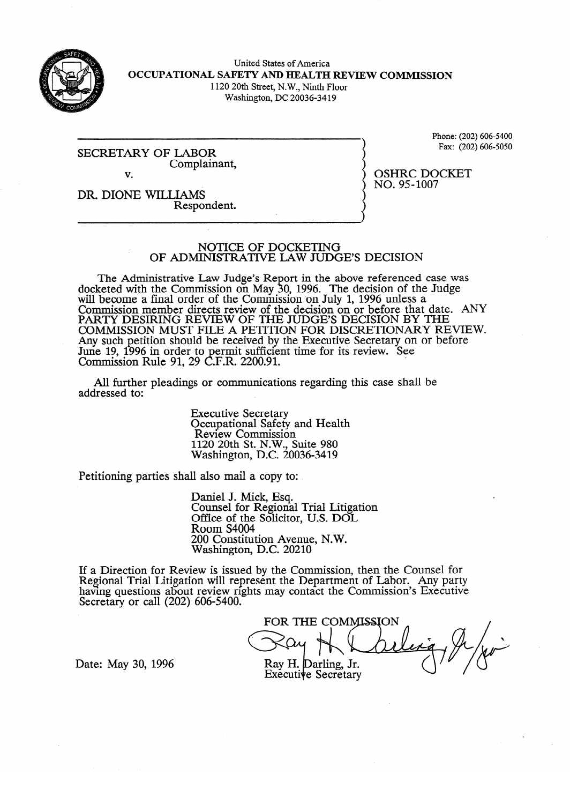

United States of America **OCCUPATIONAL SAFETY AND HEALTH REVIEW COMMISSION**  1120 20th Street, N. W., Ninth Floor

Washington, DC 20036-34 19

SECRETARY OF LABOR Complainant,  $\overline{\mathbf{v}}$ v.

Phone: (202) 606-5400<br>Fax: (202) 606-5050  $\epsilon$  (202)606-50506-50506-50506-50506-50506-50506-50506-50506-50506-50506-50506-50506-50506-50506-50506-50506-50506-50506-50506-50506-50506-50506-50506-50506-50506-50506-50506-50506-50506-50506-50506-50506-50506-50506-505

DR. DIONE WILLIAMS Respondent.

OSHRC DOCKET<br>NO. 95-1007  $\overline{\phantom{a}}$ 

NOTICE OF DOCKETING<br>OF ADMINISTRATIVE LAW JUDGE'S DECISION

OF ADMINISTRATIVE L4W **JUDGE'S DECISION**  keted with the Commission on May. ș. 0, 1996. The decision of the Judge will become a final order of the Commission on July 1, 1996 unless a Commission member directs review of the decision on or before that  $\overline{P}$  is  $\overline{P}$  is  $\overline{P}$  in  $\overline{P}$  is a final property and  $\overline{P}$  is  $\overline{P}$  is a final property of  $\overline{P}$  is a final property of  $\overline{P}$  PARTY DESIRING REVIEW OF THE JUDGE'S DECISION BY THE  $\overline{CO}$  and  $\overline{CO}$  because that date. AND  $\overline{CO}$  and  $\overline{CO}$  and  $\overline{CO}$  and  $\overline{CO}$  and  $\overline{CO}$  and  $\overline{CO}$  and  $\overline{CO}$  and  $\overline{CO}$  and  $\overline{CO}$  and  $\overline{CO}$ COMMISSION MUST FILE A PETITION FOR DISCRETIONARY REVIEW. Any such petition should be received by the Executive Secretary on or before June 19, 1990 in order to permit sumclent time for its review. See<br>Commission  ${\rm Pul}_2$  01, 20 C E D, 2200.01 COMMISSION KUIC 91,  $29$  C.F.K.  $2200.91$ .

All further pleadings or communications regarding this case shall be  $A$  further pleading or communications regarding the communications regarding the shall behall behall behall behall behall behall behall behall behall behall behall behall behall behall behall behall behall behall behall

> **Executive Secretary** Occupational Safety and Health<br>Review Commission  $1120$  20th St. N.W. Suite 980  $\overline{N}$ ashington, D.C. 20  $1120 - 980 - 980 = 280$

Petitioning parties shall also mail a copy to:

Daniel J. Mick, Esq.<br>Counsel for Regional Trial Litigation Office of the Solicitor, U.S. DOL Room S4004 200 Constitution Avenue, N.W. Washington, D.C. 20210

200 Constitution Avenue, N.W.  $\text{few}$  is issued by the Com having questions about review rights may contact the Commission's Executiv Secretary or call  $(202)$  606-5400.

FOR THE COMMISSION Ray H. Darling, Jr.

Date: May 30, 1996

Executive Secretary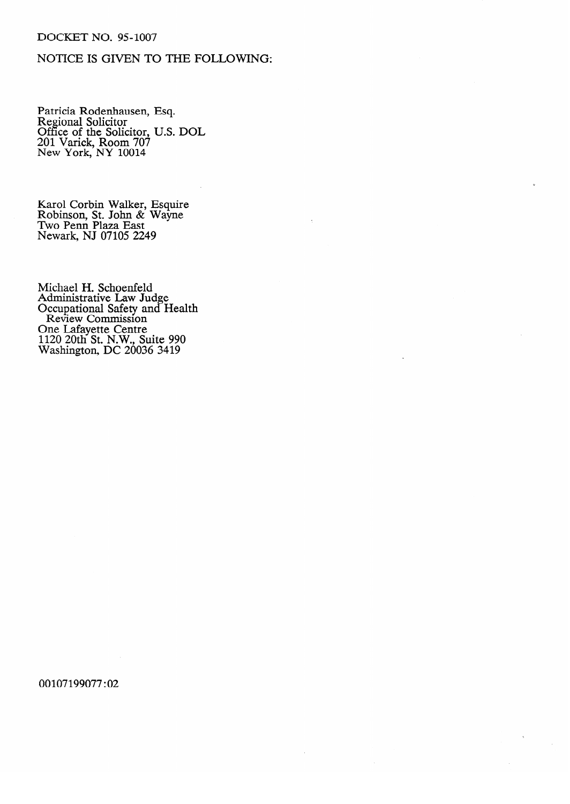### DOCKET NO. 95-1007

# NOTICE IS GIVEN TO THE FOLLOWING:

r annua Rodenhausen, Esq.<br>Regional Solicitor Regional Solicitor<br>Office of the Soli Office of the Solicitor, O.S. DOL.<br>201 Varick Room 707 201 Varick, Room 707 New York, NY 1001.

Robinson, St. John  $\&$  Wayne Two Penn Plaza East. Newark, NJ 07105 22

Michael H. Schoenfeld Administrative Law Ju e Occupational Safety and Review Commission ne laiayette Centre<br>120.2011 St. N.W. S  $U_{\alpha}$  Latitude Centre Centre Centre Centre Centre Centre Centre Centre Centre Centre Centre Centre Centre Centre Centre Centre Centre Centre Centre Centre Centre Centre Centre Centre Centre Centre Centre Centre Centre C washington, DC  $20030$   $3419$ 

00107199077:02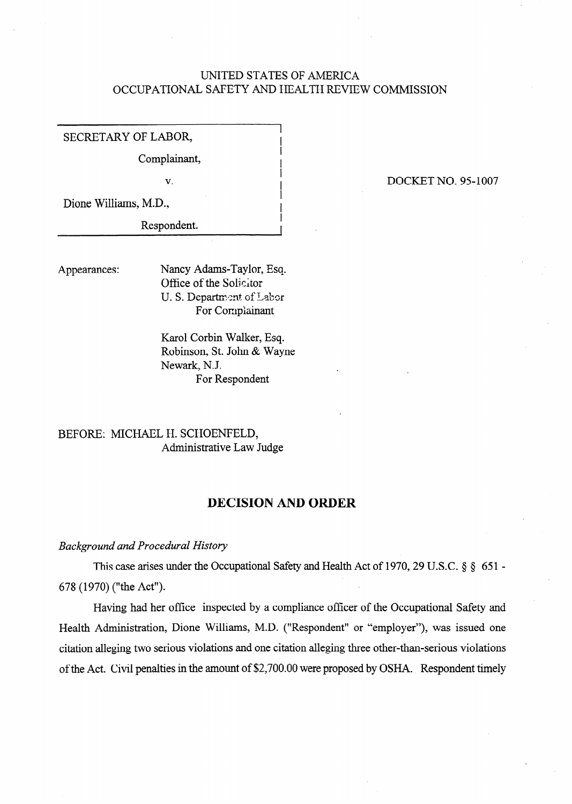## UNITED STATES OF AMERICA OCCUPATIONAL SAFETY AND HEALTH REVIEW COMMISSION

I I

SECRETARY OF LABOR,

Complainant,

*v.* <sup>I</sup>

Dione Williams, M.D.,

Respondent.

Appearances: Nancy Adams-Tavlor, Eso. Office of the Solicitor U. S. Department of Labor For Complainant

> Karol Corbin Walker, Esq. Robinson, St. John & Wayne Newark, N.J. For Respondent

# BEFORE: MICHAEL H. SCHOENFELD, Administrative Law Judge

## **DECISION AND ORDER**

### *Background and Procedural History*

This case arises under the Occupational Safety and Health Act of 1970, 29 U.S.C. § § 651 -678 (1970) ("the Act").

Having had her office inspected by a compliance officer of the Occupational Safety and Health Administration, Dione Williams, M.D. ("Respondent" or "employer"), was issued one citation alleging two serious violations and one citation alleging three other-than-serious violations of the Act. Civil penalties in the amount of \$2,700.00 were proposed by OSHA. Respondent timely

### DOCKET NO. 95-1007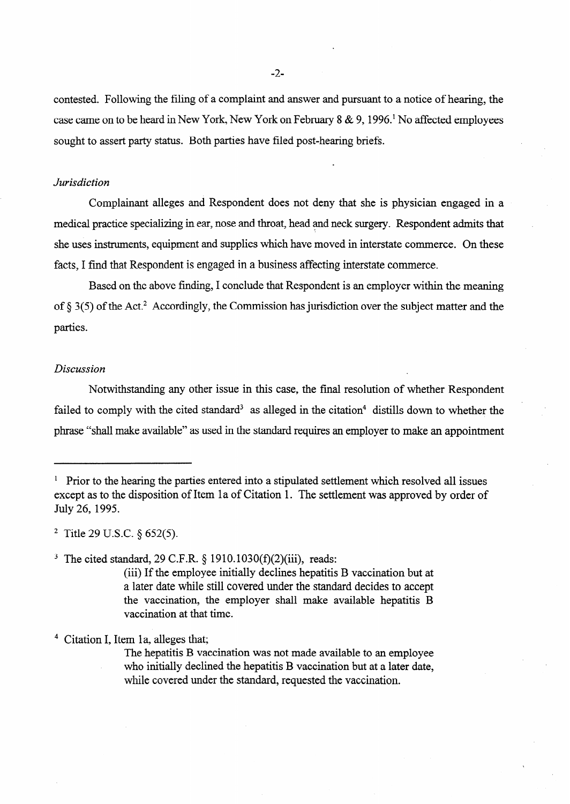contested. Following the filing of a complaint and answer and pursuant to a notice of hearing, the case came on to be heard in New York, New York on February 8 & 9,1996.' No affected employees sought to assert party status. Both parties have filed post-hearing briefs.

#### *Jurisdiction*

Complainant alleges and Respondent does not deny that she is physician engaged in a medical practice specializing in ear, nose and throat, head and neck surgery. Respondent admits that she uses instruments, equipment and supplies which have moved in interstate commerce. On these facts, I find that Respondent is engaged in a business affecting interstate commerce.

Based on the above finding, I conclude that Respondent is an employer within the meaning of  $\S 3(5)$  of the Act.<sup>2</sup> Accordingly, the Commission has jurisdiction over the subject matter and the parties.

### *Discussion*

Notwithstanding any other issue in this case, the final resolution of whether Respondent failed to comply with the cited standard<sup>3</sup> as alleged in the citation<sup>4</sup> distills down to whether the phrase "shall make available" as used in the standard requires an employer to make an appointment

2 Title 29 U.S.C. \$ 652(5).

<sup>3</sup> The cited standard, 29 C.F.R.  $\S$  1910.1030(f)(2)(iii), reads:

(iii) If the employee initially declines hepatitis B vaccination but at a later date while still covered under the standard decides to accept the vaccination, the employer shall make available hepatitis B vaccination at that time.

4 Citation I, Item la, alleges that;

The hepatitis B vaccination was not made available to an employee who initially declined the hepatitis B vaccination but at a later date, while covered under the standard, requested the vaccination.

 $1$  Prior to the hearing the parties entered into a stipulated settlement which resolved all issues except as to the disposition of Item la of Citation 1. The settlement was approved by order of July 26, 1995.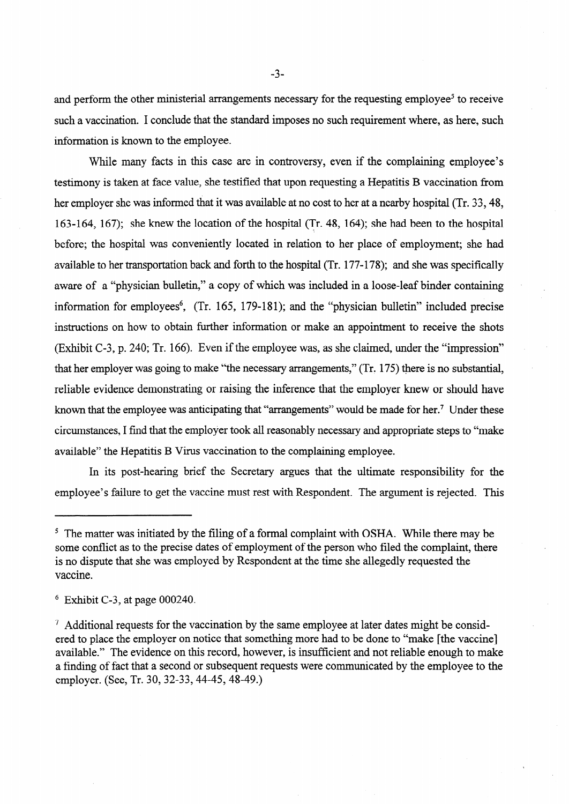and perform the other ministerial arrangements necessary for the requesting employee<sup>5</sup> to receive such a vaccination. I conclude that the standard imposes no such requirement where, as here, such information is known to the employee.

While many facts in this case are in controversy, even if the complaining employee's testimony is taken at face value, she testified that upon requesting a Hepatitis B vaccination from her employer she was informed that it was available at no cost to her at a nearby hospital (Tr. 33,48, 163-l 64, 167); she knew the location of the hospital (Tr. 48, 164); she had been to the hospital before; the hospital was conveniently located in relation to her place of employment; she had available to her transportation back and forth to the hospital (Tr. 177-178); and she was specifically aware of a "physician bulletin," a copy of which was included in a loose-leaf binder containing information for employees<sup> $6$ </sup>, (Tr. 165, 179-181); and the "physician bulletin" included precise instructions on how to obtain further information or make an appointment to receive the shots (Exhibit C-3, p. 240; Tr. 166). Even if the employee was, as she claimed, under the "impression" that her employer was going to make "the necessary arrangements," (Tr. 175) there is no substantial, reliable evidence demonstrating or raising the inference that the employer knew or should have known that the employee was anticipating that "arrangements" would be made for her.<sup>7</sup> Under these circumstances, I find that the employer took all reasonably necessary and appropriate steps to "make available" the Hepatitis B Virus vaccination to the complaining employee.

In its post-hearing brief the Secretary argues that the ultimate responsibility for the employee's failure to get the vaccine must rest with Respondent. The argument is rejected. This

. .

 $5$  The matter was initiated by the filing of a formal complaint with OSHA. While there may be some conflict as to the precise dates of employment of the person who filed the complaint, there is no dispute that she was employed by Respondent at the time she allegedly requested the vaccine.

 $6$  Exhibit C-3, at page 000240.

 $<sup>7</sup>$  Additional requests for the vaccination by the same employee at later dates might be consid-</sup> ered to place the employer on notice that something more had to be done to "make [the vaccine] available." The evidence on this record, however, is insufficient and not reliable enough to make a finding of fact that a second or subsequent requests were communicated by the employee to the employer. (See, Tr. 30, 32-33, 44-45, 48-49.)